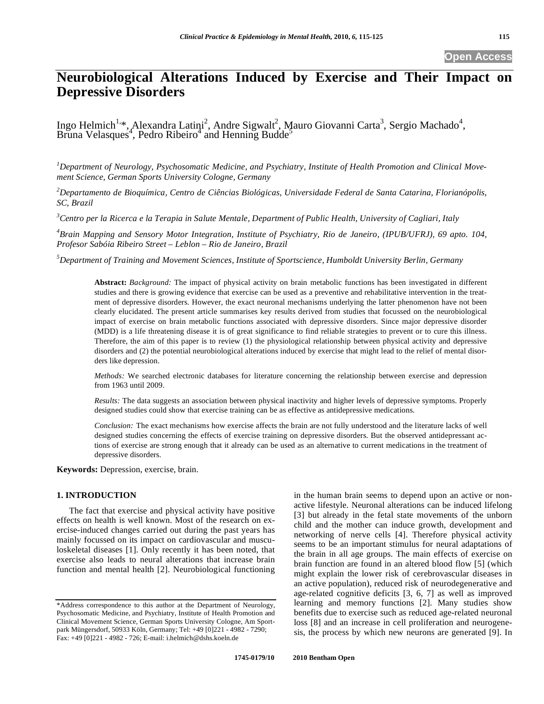# **Neurobiological Alterations Induced by Exercise and Their Impact on Depressive Disorders**

Ingo Helmich<sup>1,</sup>\*, Alexandra Latini<sup>2</sup>, Andre Sigwalt<sup>2</sup>, Mauro Giovanni Carta<sup>3</sup>, Sergio Machado<sup>4</sup>,<br>Bruna Velasques<sup>4</sup>, Pedro Ribeiro<sup>4</sup> and Henning Budde<sup>5</sup>

*1 Department of Neurology, Psychosomatic Medicine, and Psychiatry, Institute of Health Promotion and Clinical Movement Science, German Sports University Cologne, Germany* 

*2 Departamento de Bioquímica, Centro de Ciências Biológicas, Universidade Federal de Santa Catarina, Florianópolis, SC, Brazil* 

*3 Centro per la Ricerca e la Terapia in Salute Mentale, Department of Public Health, University of Cagliari, Italy* 

*4 Brain Mapping and Sensory Motor Integration, Institute of Psychiatry, Rio de Janeiro, (IPUB/UFRJ), 69 apto. 104, Profesor Sabóia Ribeiro Street – Leblon – Rio de Janeiro, Brazil* 

*5 Department of Training and Movement Sciences, Institute of Sportscience, Humboldt University Berlin, Germany* 

**Abstract:** *Background:* The impact of physical activity on brain metabolic functions has been investigated in different studies and there is growing evidence that exercise can be used as a preventive and rehabilitative intervention in the treatment of depressive disorders. However, the exact neuronal mechanisms underlying the latter phenomenon have not been clearly elucidated. The present article summarises key results derived from studies that focussed on the neurobiological impact of exercise on brain metabolic functions associated with depressive disorders. Since major depressive disorder (MDD) is a life threatening disease it is of great significance to find reliable strategies to prevent or to cure this illness. Therefore, the aim of this paper is to review (1) the physiological relationship between physical activity and depressive disorders and (2) the potential neurobiological alterations induced by exercise that might lead to the relief of mental disorders like depression.

*Methods:* We searched electronic databases for literature concerning the relationship between exercise and depression from 1963 until 2009.

*Results:* The data suggests an association between physical inactivity and higher levels of depressive symptoms. Properly designed studies could show that exercise training can be as effective as antidepressive medications.

*Conclusion:* The exact mechanisms how exercise affects the brain are not fully understood and the literature lacks of well designed studies concerning the effects of exercise training on depressive disorders. But the observed antidepressant actions of exercise are strong enough that it already can be used as an alternative to current medications in the treatment of depressive disorders.

**Keywords:** Depression, exercise, brain.

#### **1. INTRODUCTION**

The fact that exercise and physical activity have positive effects on health is well known. Most of the research on exercise-induced changes carried out during the past years has mainly focussed on its impact on cardiovascular and musculoskeletal diseases [1]. Only recently it has been noted, that exercise also leads to neural alterations that increase brain function and mental health [2]. Neurobiological functioning

in the human brain seems to depend upon an active or nonactive lifestyle. Neuronal alterations can be induced lifelong [3] but already in the fetal state movements of the unborn child and the mother can induce growth, development and networking of nerve cells [4]. Therefore physical activity seems to be an important stimulus for neural adaptations of the brain in all age groups. The main effects of exercise on brain function are found in an altered blood flow [5] (which might explain the lower risk of cerebrovascular diseases in an active population), reduced risk of neurodegenerative and age-related cognitive deficits [3, 6, 7] as well as improved learning and memory functions [2]. Many studies show benefits due to exercise such as reduced age-related neuronal loss [8] and an increase in cell proliferation and neurogenesis, the process by which new neurons are generated [9]. In

<sup>\*</sup>Address correspondence to this author at the Department of Neurology, Psychosomatic Medicine, and Psychiatry, Institute of Health Promotion and Clinical Movement Science, German Sports University Cologne, Am Sportpark Müngersdorf, 50933 Köln, Germany; Tel: +49 [0]221 - 4982 - 7290; Fax: +49 [0]221 - 4982 - 726; E-mail: i.helmich@dshs.koeln.de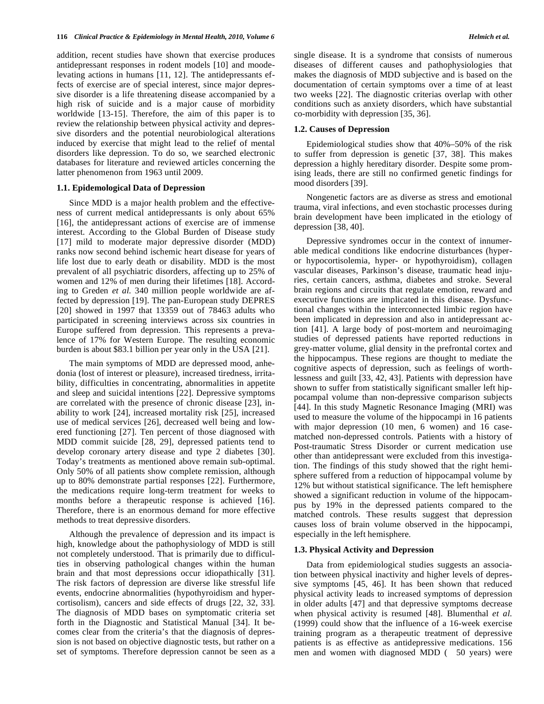addition, recent studies have shown that exercise produces antidepressant responses in rodent models [10] and moodelevating actions in humans [11, 12]. The antidepressants effects of exercise are of special interest, since major depressive disorder is a life threatening disease accompanied by a high risk of suicide and is a major cause of morbidity worldwide [13-15]. Therefore, the aim of this paper is to review the relationship between physical activity and depressive disorders and the potential neurobiological alterations induced by exercise that might lead to the relief of mental disorders like depression. To do so, we searched electronic databases for literature and reviewed articles concerning the latter phenomenon from 1963 until 2009.

#### **1.1. Epidemological Data of Depression**

Since MDD is a major health problem and the effectiveness of current medical antidepressants is only about 65% [16], the antidepressant actions of exercise are of immense interest. According to the Global Burden of Disease study [17] mild to moderate major depressive disorder (MDD) ranks now second behind ischemic heart disease for years of life lost due to early death or disability. MDD is the most prevalent of all psychiatric disorders, affecting up to 25% of women and 12% of men during their lifetimes [18]. According to Greden *et al.* 340 million people worldwide are affected by depression [19]. The pan-European study DEPRES [20] showed in 1997 that 13359 out of 78463 adults who participated in screening interviews across six countries in Europe suffered from depression. This represents a prevalence of 17% for Western Europe. The resulting economic burden is about \$83.1 billion per year only in the USA [21].

The main symptoms of MDD are depressed mood, anhedonia (lost of interest or pleasure), increased tiredness, irritability, difficulties in concentrating, abnormalities in appetite and sleep and suicidal intentions [22]. Depressive symptoms are correlated with the presence of chronic disease [23], inability to work [24], increased mortality risk [25], increased use of medical services [26], decreased well being and lowered functioning [27]. Ten percent of those diagnosed with MDD commit suicide [28, 29], depressed patients tend to develop coronary artery disease and type 2 diabetes [30]. Today's treatments as mentioned above remain sub-optimal. Only 50% of all patients show complete remission, although up to 80% demonstrate partial responses [22]. Furthermore, the medications require long-term treatment for weeks to months before a therapeutic response is achieved [16]. Therefore, there is an enormous demand for more effective methods to treat depressive disorders.

Although the prevalence of depression and its impact is high, knowledge about the pathophysiology of MDD is still not completely understood. That is primarily due to difficulties in observing pathological changes within the human brain and that most depressions occur idiopathically [31]. The risk factors of depression are diverse like stressful life events, endocrine abnormalities (hypothyroidism and hypercortisolism), cancers and side effects of drugs [22, 32, 33]. The diagnosis of MDD bases on symptomatic criteria set forth in the Diagnostic and Statistical Manual [34]. It becomes clear from the criteria's that the diagnosis of depression is not based on objective diagnostic tests, but rather on a set of symptoms. Therefore depression cannot be seen as a

single disease. It is a syndrome that consists of numerous diseases of different causes and pathophysiologies that makes the diagnosis of MDD subjective and is based on the documentation of certain symptoms over a time of at least two weeks [22]. The diagnostic criterias overlap with other conditions such as anxiety disorders, which have substantial co-morbidity with depression [35, 36].

# **1.2. Causes of Depression**

Epidemiological studies show that 40%–50% of the risk to suffer from depression is genetic [37, 38]. This makes depression a highly hereditary disorder. Despite some promising leads, there are still no confirmed genetic findings for mood disorders [39].

Nongenetic factors are as diverse as stress and emotional trauma, viral infections, and even stochastic processes during brain development have been implicated in the etiology of depression [38, 40].

Depressive syndromes occur in the context of innumerable medical conditions like endocrine disturbances (hyperor hypocortisolemia, hyper- or hypothyroidism), collagen vascular diseases, Parkinson's disease, traumatic head injuries, certain cancers, asthma, diabetes and stroke. Several brain regions and circuits that regulate emotion, reward and executive functions are implicated in this disease. Dysfunctional changes within the interconnected limbic region have been implicated in depression and also in antidepressant action [41]. A large body of post-mortem and neuroimaging studies of depressed patients have reported reductions in grey-matter volume, glial density in the prefrontal cortex and the hippocampus. These regions are thought to mediate the cognitive aspects of depression, such as feelings of worthlessness and guilt [33, 42, 43]. Patients with depression have shown to suffer from statistically significant smaller left hippocampal volume than non-depressive comparison subjects [44]. In this study Magnetic Resonance Imaging (MRI) was used to measure the volume of the hippocampi in 16 patients with major depression (10 men, 6 women) and 16 casematched non-depressed controls. Patients with a history of Post-traumatic Stress Disorder or current medication use other than antidepressant were excluded from this investigation. The findings of this study showed that the right hemisphere suffered from a reduction of hippocampal volume by 12% but without statistical significance. The left hemisphere showed a significant reduction in volume of the hippocampus by 19% in the depressed patients compared to the matched controls. These results suggest that depression causes loss of brain volume observed in the hippocampi, especially in the left hemisphere.

#### **1.3. Physical Activity and Depression**

Data from epidemiological studies suggests an association between physical inactivity and higher levels of depressive symptoms [45, 46]. It has been shown that reduced physical activity leads to increased symptoms of depression in older adults [47] and that depressive symptoms decrease when physical activity is resumed [48]. Blumenthal *et al.* (1999) could show that the influence of a 16-week exercise training program as a therapeutic treatment of depressive patients is as effective as antidepressive medications. 156 men and women with diagnosed MDD ( 50 years) were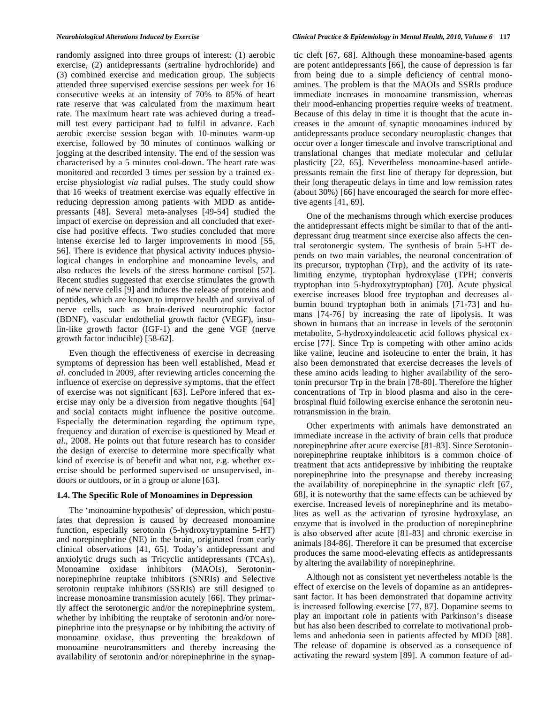randomly assigned into three groups of interest: (1) aerobic exercise, (2) antidepressants (sertraline hydrochloride) and (3) combined exercise and medication group. The subjects attended three supervised exercise sessions per week for 16 consecutive weeks at an intensity of 70% to 85% of heart rate reserve that was calculated from the maximum heart rate. The maximum heart rate was achieved during a treadmill test every participant had to fulfil in advance. Each aerobic exercise session began with 10-minutes warm-up exercise, followed by 30 minutes of continuos walking or jogging at the described intensity. The end of the session was characterised by a 5 minutes cool-down. The heart rate was monitored and recorded 3 times per session by a trained exercise physiologist *via* radial pulses. The study could show that 16 weeks of treatment exercise was equally effective in reducing depression among patients with MDD as antidepressants [48]. Several meta-analyses [49-54] studied the impact of exercise on depression and all concluded that exercise had positive effects. Two studies concluded that more intense exercise led to larger improvements in mood [55, 56]. There is evidence that physical activity induces physiological changes in endorphine and monoamine levels, and also reduces the levels of the stress hormone cortisol [57]. Recent studies suggested that exercise stimulates the growth of new nerve cells [9] and induces the release of proteins and peptides, which are known to improve health and survival of nerve cells, such as brain-derived neurotrophic factor (BDNF), vascular endothelial growth factor (VEGF), insulin-like growth factor (IGF-1) and the gene VGF (nerve growth factor inducible) [58-62].

Even though the effectiveness of exercise in decreasing symptoms of depression has been well established, Mead *et al.* concluded in 2009, after reviewing articles concerning the influence of exercise on depressive symptoms, that the effect of exercise was not significant [63]. LePore infered that exercise may only be a diversion from negative thoughts [64] and social contacts might influence the positive outcome. Especially the determination regarding the optimum type, frequency and duration of exercise is questioned by Mead *et al.*, 2008. He points out that future research has to consider the design of exercise to determine more specifically what kind of exercise is of benefit and what not, e.g. whether exercise should be performed supervised or unsupervised, indoors or outdoors, or in a group or alone [63].

#### **1.4. The Specific Role of Monoamines in Depression**

The 'monoamine hypothesis' of depression, which postulates that depression is caused by decreased monoamine function, especially serotonin (5-hydroxytryptamine 5-HT) and norepinephrine (NE) in the brain, originated from early clinical observations [41, 65]. Today's antidepressant and anxiolytic drugs such as Tricyclic antidepressants (TCAs), Monoamine oxidase inhibitors (MAOIs), Serotoninnorepinephrine reuptake inhibitors (SNRIs) and Selective serotonin reuptake inhibitors (SSRIs) are still designed to increase monoamine transmission acutely [66]. They primarily affect the serotonergic and/or the norepinephrine system, whether by inhibiting the reuptake of serotonin and/or norepinephrine into the presynapse or by inhibiting the activity of monoamine oxidase, thus preventing the breakdown of monoamine neurotransmitters and thereby increasing the availability of serotonin and/or norepinephrine in the synaptic cleft [67, 68]. Although these monoamine-based agents are potent antidepressants [66], the cause of depression is far from being due to a simple deficiency of central monoamines. The problem is that the MAOIs and SSRIs produce immediate increases in monoamine transmission, whereas their mood-enhancing properties require weeks of treatment. Because of this delay in time it is thought that the acute increases in the amount of synaptic monoamines induced by antidepressants produce secondary neuroplastic changes that occur over a longer timescale and involve transcriptional and translational changes that mediate molecular and cellular plasticity [22, 65]. Nevertheless monoamine-based antidepressants remain the first line of therapy for depression, but their long therapeutic delays in time and low remission rates (about 30%) [66] have encouraged the search for more effective agents [41, 69].

One of the mechanisms through which exercise produces the antidepressant effects might be similar to that of the antidepressant drug treatment since exercise also affects the central serotonergic system. The synthesis of brain 5-HT depends on two main variables, the neuronal concentration of its precursor, tryptophan (Trp), and the activity of its ratelimiting enzyme, tryptophan hydroxylase (TPH; converts tryptophan into 5-hydroxytryptophan) [70]. Acute physical exercise increases blood free tryptophan and decreases albumin bound tryptophan both in animals [71-73] and humans [74-76] by increasing the rate of lipolysis. It was shown in humans that an increase in levels of the serotonin metabolite, 5-hydroxyindoleacetic acid follows physical exercise [77]. Since Trp is competing with other amino acids like valine, leucine and isoleucine to enter the brain, it has also been demonstrated that exercise decreases the levels of these amino acids leading to higher availability of the serotonin precursor Trp in the brain [78-80]. Therefore the higher concentrations of Trp in blood plasma and also in the cerebrospinal fluid following exercise enhance the serotonin neurotransmission in the brain.

Other experiments with animals have demonstrated an immediate increase in the activity of brain cells that produce norepinephrine after acute exercise [81-83]. Since Serotoninnorepinephrine reuptake inhibitors is a common choice of treatment that acts antidepressive by inhibiting the reuptake norepinephrine into the presynapse and thereby increasing the availability of norepinephrine in the synaptic cleft [67, 68], it is noteworthy that the same effects can be achieved by exercise. Increased levels of norepinephrine and its metabolites as well as the activation of tyrosine hydroxylase, an enzyme that is involved in the production of norepinephrine is also observed after acute [81-83] and chronic exercise in animals [84-86]. Therefore it can be presumed that excercise produces the same mood-elevating effects as antidepressants by altering the availability of norepinephrine.

Although not as consistent yet nevertheless notable is the effect of exercise on the levels of dopamine as an antidepressant factor. It has been demonstrated that dopamine activity is increased following exercise [77, 87]. Dopamine seems to play an important role in patients with Parkinson's disease but has also been described to correlate to motivational problems and anhedonia seen in patients affected by MDD [88]. The release of dopamine is observed as a consequence of activating the reward system [89]. A common feature of ad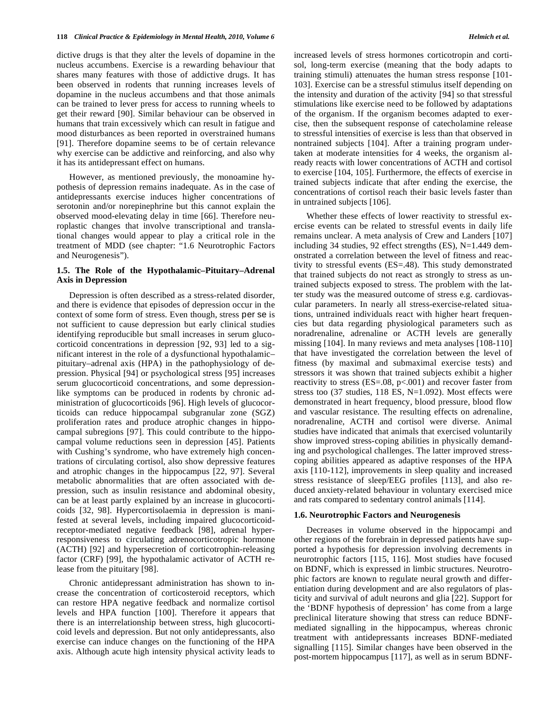dictive drugs is that they alter the levels of dopamine in the nucleus accumbens. Exercise is a rewarding behaviour that shares many features with those of addictive drugs. It has been observed in rodents that running increases levels of dopamine in the nucleus accumbens and that those animals can be trained to lever press for access to running wheels to get their reward [90]. Similar behaviour can be observed in humans that train excessively which can result in fatigue and mood disturbances as been reported in overstrained humans [91]. Therefore dopamine seems to be of certain relevance why exercise can be addictive and reinforcing, and also why it has its antidepressant effect on humans.

However, as mentioned previously, the monoamine hypothesis of depression remains inadequate. As in the case of antidepressants exercise induces higher concentrations of serotonin and/or norepinephrine but this cannot explain the observed mood-elevating delay in time [66]. Therefore neuroplastic changes that involve transcriptional and translational changes would appear to play a critical role in the treatment of MDD (see chapter: "1.6 Neurotrophic Factors and Neurogenesis").

# **1.5. The Role of the Hypothalamic–Pituitary–Adrenal Axis in Depression**

Depression is often described as a stress-related disorder, and there is evidence that episodes of depression occur in the context of some form of stress. Even though, stress per se is not sufficient to cause depression but early clinical studies identifying reproducible but small increases in serum glucocorticoid concentrations in depression [92, 93] led to a significant interest in the role of a dysfunctional hypothalamic– pituitary–adrenal axis (HPA) in the pathophysiology of depression. Physical [94] or psychological stress [95] increases serum glucocorticoid concentrations, and some depressionlike symptoms can be produced in rodents by chronic administration of glucocorticoids [96]. High levels of glucocorticoids can reduce hippocampal subgranular zone (SGZ) proliferation rates and produce atrophic changes in hippocampal subregions [97]. This could contribute to the hippocampal volume reductions seen in depression [45]. Patients with Cushing's syndrome, who have extremely high concentrations of circulating cortisol, also show depressive features and atrophic changes in the hippocampus [22, 97]. Several metabolic abnormalities that are often associated with depression, such as insulin resistance and abdominal obesity, can be at least partly explained by an increase in glucocorticoids [32, 98]. Hypercortisolaemia in depression is manifested at several levels, including impaired glucocorticoidreceptor-mediated negative feedback [98], adrenal hyperresponsiveness to circulating adrenocorticotropic hormone (ACTH) [92] and hypersecretion of corticotrophin-releasing factor (CRF) [99], the hypothalamic activator of ACTH release from the pituitary [98].

Chronic antidepressant administration has shown to increase the concentration of corticosteroid receptors, which can restore HPA negative feedback and normalize cortisol levels and HPA function [100]. Therefore it appears that there is an interrelationship between stress, high glucocorticoid levels and depression. But not only antidepressants, also exercise can induce changes on the functioning of the HPA axis. Although acute high intensity physical activity leads to increased levels of stress hormones corticotropin and cortisol, long-term exercise (meaning that the body adapts to training stimuli) attenuates the human stress response [101- 103]. Exercise can be a stressful stimulus itself depending on the intensity and duration of the activity [94] so that stressful stimulations like exercise need to be followed by adaptations of the organism. If the organism becomes adapted to exercise, then the subsequent response of catecholamine release to stressful intensities of exercise is less than that observed in nontrained subjects [104]. After a training program undertaken at moderate intensities for 4 weeks, the organism already reacts with lower concentrations of ACTH and cortisol to exercise [104, 105]. Furthermore, the effects of exercise in trained subjects indicate that after ending the exercise, the concentrations of cortisol reach their basic levels faster than in untrained subjects [106].

Whether these effects of lower reactivity to stressful exercise events can be related to stressful events in daily life remains unclear. A meta analysis of Crew and Landers [107] including 34 studies, 92 effect strengths (ES), N=1.449 demonstrated a correlation between the level of fitness and reactivity to stressful events (ES=.48). This study demonstrated that trained subjects do not react as strongly to stress as untrained subjects exposed to stress. The problem with the latter study was the measured outcome of stress e.g. cardiovascular parameters. In nearly all stress-exercise-related situations, untrained individuals react with higher heart frequencies but data regarding physiological parameters such as noradrenaline, adrenaline or ACTH levels are generally missing [104]. In many reviews and meta analyses [108-110] that have investigated the correlation between the level of fitness (by maximal and submaximal exercise tests) and stressors it was shown that trained subjects exhibit a higher reactivity to stress (ES=.08, p<.001) and recover faster from stress too (37 studies, 118 ES, N=1.092). Most effects were demonstrated in heart frequency, blood pressure, blood flow and vascular resistance. The resulting effects on adrenaline, noradrenaline, ACTH and cortisol were diverse. Animal studies have indicated that animals that exercised voluntarily show improved stress-coping abilities in physically demanding and psychological challenges. The latter improved stresscoping abilities appeared as adaptive responses of the HPA axis [110-112], improvements in sleep quality and increased stress resistance of sleep/EEG profiles [113], and also reduced anxiety-related behaviour in voluntary exercised mice and rats compared to sedentary control animals [114].

#### **1.6. Neurotrophic Factors and Neurogenesis**

Decreases in volume observed in the hippocampi and other regions of the forebrain in depressed patients have supported a hypothesis for depression involving decrements in neurotrophic factors [115, 116]. Most studies have focused on BDNF, which is expressed in limbic structures. Neurotrophic factors are known to regulate neural growth and differentiation during development and are also regulators of plasticity and survival of adult neurons and glia [22]. Support for the 'BDNF hypothesis of depression' has come from a large preclinical literature showing that stress can reduce BDNFmediated signalling in the hippocampus, whereas chronic treatment with antidepressants increases BDNF-mediated signalling [115]. Similar changes have been observed in the post-mortem hippocampus [117], as well as in serum BDNF-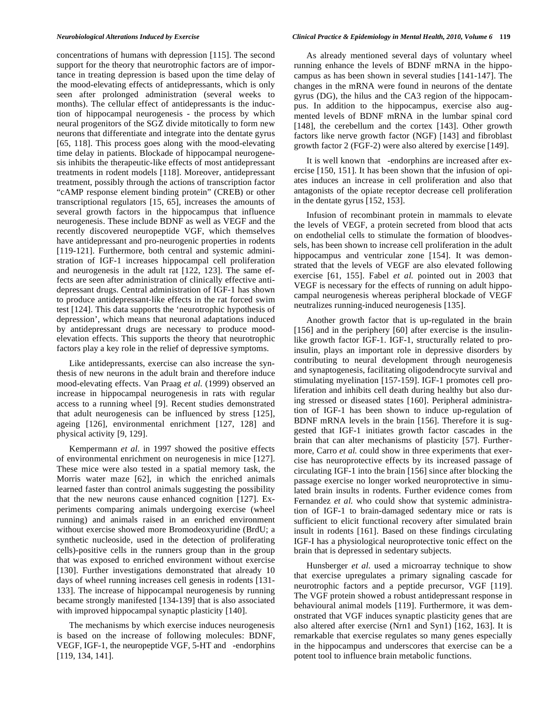concentrations of humans with depression [115]. The second support for the theory that neurotrophic factors are of importance in treating depression is based upon the time delay of the mood-elevating effects of antidepressants, which is only seen after prolonged administration (several weeks to months). The cellular effect of antidepressants is the induction of hippocampal neurogenesis - the process by which neural progenitors of the SGZ divide mitotically to form new neurons that differentiate and integrate into the dentate gyrus [65, 118]. This process goes along with the mood-elevating time delay in patients. Blockade of hippocampal neurogenesis inhibits the therapeutic-like effects of most antidepressant treatments in rodent models [118]. Moreover, antidepressant treatment, possibly through the actions of transcription factor "cAMP response element binding protein" (CREB) or other transcriptional regulators [15, 65], increases the amounts of several growth factors in the hippocampus that influence neurogenesis. These include BDNF as well as VEGF and the recently discovered neuropeptide VGF, which themselves have antidepressant and pro-neurogenic properties in rodents [119-121]. Furthermore, both central and systemic administration of IGF-1 increases hippocampal cell proliferation and neurogenesis in the adult rat [122, 123]. The same effects are seen after administration of clinically effective antidepressant drugs. Central administration of IGF-1 has shown to produce antidepressant-like effects in the rat forced swim test [124]. This data supports the 'neurotrophic hypothesis of depression', which means that neuronal adaptations induced by antidepressant drugs are necessary to produce moodelevation effects. This supports the theory that neurotrophic factors play a key role in the relief of depressive symptoms.

Like antidepressants, exercise can also increase the synthesis of new neurons in the adult brain and therefore induce mood-elevating effects. Van Praag *et al.* (1999) observed an increase in hippocampal neurogenesis in rats with regular access to a running wheel [9]. Recent studies demonstrated that adult neurogenesis can be influenced by stress [125], ageing [126], environmental enrichment [127, 128] and physical activity [9, 129].

Kempermann *et al.* in 1997 showed the positive effects of environmental enrichment on neurogenesis in mice [127]. These mice were also tested in a spatial memory task, the Morris water maze [62], in which the enriched animals learned faster than control animals suggesting the possibility that the new neurons cause enhanced cognition [127]. Experiments comparing animals undergoing exercise (wheel running) and animals raised in an enriched environment without exercise showed more Bromodeoxyuridine (BrdU; a synthetic nucleoside, used in the detection of proliferating cells)-positive cells in the runners group than in the group that was exposed to enriched environment without exercise [130]. Further investigations demonstrated that already 10 days of wheel running increases cell genesis in rodents [131- 133]. The increase of hippocampal neurogenesis by running became strongly manifested [134-139] that is also associated with improved hippocampal synaptic plasticity [140].

The mechanisms by which exercise induces neurogenesis is based on the increase of following molecules: BDNF, VEGF, IGF-1, the neuropeptide VGF, 5-HT and -endorphins [119, 134, 141].

As already mentioned several days of voluntary wheel running enhance the levels of BDNF mRNA in the hippocampus as has been shown in several studies [141-147]. The changes in the mRNA were found in neurons of the dentate gyrus (DG), the hilus and the CA3 region of the hippocampus. In addition to the hippocampus, exercise also augmented levels of BDNF mRNA in the lumbar spinal cord [148], the cerebellum and the cortex [143]. Other growth factors like nerve growth factor (NGF) [143] and fibroblast growth factor 2 (FGF-2) were also altered by exercise [149].

It is well known that -endorphins are increased after exercise [150, 151]. It has been shown that the infusion of opiates induces an increase in cell proliferation and also that antagonists of the opiate receptor decrease cell proliferation in the dentate gyrus [152, 153].

Infusion of recombinant protein in mammals to elevate the levels of VEGF, a protein secreted from blood that acts on endothelial cells to stimulate the formation of bloodvessels, has been shown to increase cell proliferation in the adult hippocampus and ventricular zone [154]. It was demonstrated that the levels of VEGF are also elevated following exercise [61, 155]. Fabel *et al.* pointed out in 2003 that VEGF is necessary for the effects of running on adult hippocampal neurogenesis whereas peripheral blockade of VEGF neutralizes running-induced neurogenesis [135].

Another growth factor that is up-regulated in the brain [156] and in the periphery [60] after exercise is the insulinlike growth factor IGF-1. IGF-1, structurally related to proinsulin, plays an important role in depressive disorders by contributing to neural development through neurogenesis and synaptogenesis, facilitating oligodendrocyte survival and stimulating myelination [157-159]. IGF-1 promotes cell proliferation and inhibits cell death during healthy but also during stressed or diseased states [160]. Peripheral administration of IGF-1 has been shown to induce up-regulation of BDNF mRNA levels in the brain [156]. Therefore it is suggested that IGF-1 initiates growth factor cascades in the brain that can alter mechanisms of plasticity [57]. Furthermore, Carro *et al.* could show in three experiments that exercise has neuroprotective effects by its increased passage of circulating IGF-1 into the brain [156] since after blocking the passage exercise no longer worked neuroprotective in simulated brain insults in rodents. Further evidence comes from Fernandez *et al.* who could show that systemic administration of IGF-1 to brain-damaged sedentary mice or rats is sufficient to elicit functional recovery after simulated brain insult in rodents [161]. Based on these findings circulating IGF-I has a physiological neuroprotective tonic effect on the brain that is depressed in sedentary subjects.

Hunsberger *et al.* used a microarray technique to show that exercise upregulates a primary signaling cascade for neurotrophic factors and a peptide precursor, VGF [119]. The VGF protein showed a robust antidepressant response in behavioural animal models [119]. Furthermore, it was demonstrated that VGF induces synaptic plasticity genes that are also altered after exercise (Nrn1 and Syn1) [162, 163]. It is remarkable that exercise regulates so many genes especially in the hippocampus and underscores that exercise can be a potent tool to influence brain metabolic functions.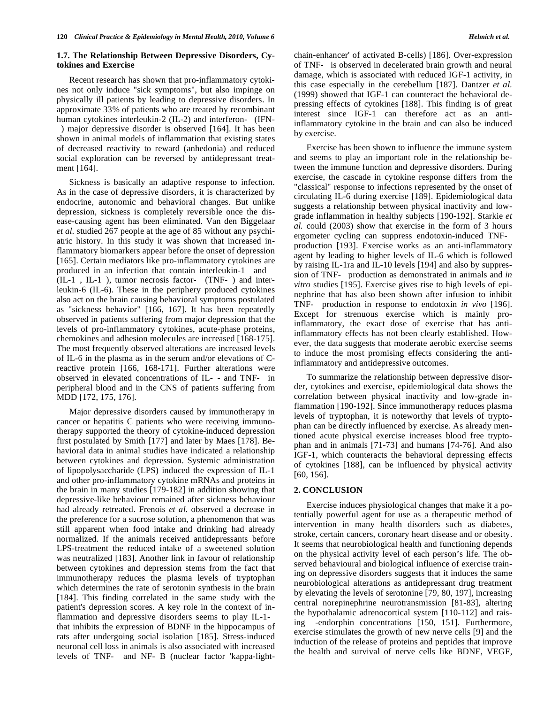# **1.7. The Relationship Between Depressive Disorders, Cytokines and Exercise**

Recent research has shown that pro-inflammatory cytokines not only induce "sick symptoms", but also impinge on physically ill patients by leading to depressive disorders. In approximate 33% of patients who are treated by recombinant human cytokines interleukin-2 (IL-2) and interferon- (IFN-) major depressive disorder is observed [164]. It has been shown in animal models of inflammation that existing states of decreased reactivity to reward (anhedonia) and reduced social exploration can be reversed by antidepressant treatment [164].

Sickness is basically an adaptive response to infection. As in the case of depressive disorders, it is characterized by endocrine, autonomic and behavioral changes. But unlike depression, sickness is completely reversible once the disease-causing agent has been eliminated. Van den Biggelaar *et al.* studied 267 people at the age of 85 without any psychiatric history. In this study it was shown that increased inflammatory biomarkers appear before the onset of depression [165]. Certain mediators like pro-inflammatory cytokines are produced in an infection that contain interleukin-1 and (IL-1 , IL-1 ), tumor necrosis factor- (TNF- ) and interleukin-6 (IL-6). These in the periphery produced cytokines also act on the brain causing behavioral symptoms postulated as "sickness behavior" [166, 167]. It has been repeatedly observed in patients suffering from major depression that the levels of pro-inflammatory cytokines, acute-phase proteins, chemokines and adhesion molecules are increased [168-175]. The most frequently observed alterations are increased levels of IL-6 in the plasma as in the serum and/or elevations of Creactive protein [166, 168-171]. Further alterations were observed in elevated concentrations of IL- - and TNF- in peripheral blood and in the CNS of patients suffering from MDD [172, 175, 176].

Major depressive disorders caused by immunotherapy in cancer or hepatitis C patients who were receiving immunotherapy supported the theory of cytokine-induced depression first postulated by Smith [177] and later by Maes [178]. Behavioral data in animal studies have indicated a relationship between cytokines and depression. Systemic administration of lipopolysaccharide (LPS) induced the expression of IL-1 and other pro-inflammatory cytokine mRNAs and proteins in the brain in many studies [179-182] in addition showing that depressive-like behaviour remained after sickness behaviour had already retreated. Frenois *et al.* observed a decrease in the preference for a sucrose solution, a phenomenon that was still apparent when food intake and drinking had already normalized. If the animals received antidepressants before LPS-treatment the reduced intake of a sweetened solution was neutralized [183]. Another link in favour of relationship between cytokines and depression stems from the fact that immunotherapy reduces the plasma levels of tryptophan which determines the rate of serotonin synthesis in the brain [184]. This finding correlated in the same study with the patient's depression scores. A key role in the context of inflammation and depressive disorders seems to play IL-1 that inhibits the expression of BDNF in the hippocampus of rats after undergoing social isolation [185]. Stress-induced neuronal cell loss in animals is also associated with increased levels of TNF- and NF- B (nuclear factor 'kappa-lightchain-enhancer' of activated B-cells) [186]. Over-expression of TNF- is observed in decelerated brain growth and neural damage, which is associated with reduced IGF-1 activity, in this case especially in the cerebellum [187]. Dantzer *et al.* (1999) showed that IGF-1 can counteract the behavioral depressing effects of cytokines [188]. This finding is of great interest since IGF-1 can therefore act as an antiinflammatory cytokine in the brain and can also be induced by exercise.

Exercise has been shown to influence the immune system and seems to play an important role in the relationship between the immune function and depressive disorders. During exercise, the cascade in cytokine response differs from the "classical" response to infections represented by the onset of circulating IL-6 during exercise [189]. Epidemiological data suggests a relationship between physical inactivity and lowgrade inflammation in healthy subjects [190-192]. Starkie *et al.* could (2003) show that exercise in the form of 3 hours ergometer cycling can suppress endotoxin-induced TNFproduction [193]. Exercise works as an anti-inflammatory agent by leading to higher levels of IL-6 which is followed by raising IL-1ra and IL-10 levels [194] and also by suppression of TNF- production as demonstrated in animals and *in vitro* studies [195]. Exercise gives rise to high levels of epinephrine that has also been shown after infusion to inhibit TNF- production in response to endotoxin *in vivo* [196]. Except for strenuous exercise which is mainly proinflammatory, the exact dose of exercise that has antiinflammatory effects has not been clearly established. However, the data suggests that moderate aerobic exercise seems to induce the most promising effects considering the antiinflammatory and antidepressive outcomes.

To summarize the relationship between depressive disorder, cytokines and exercise, epidemiological data shows the correlation between physical inactivity and low-grade inflammation [190-192]. Since immunotherapy reduces plasma levels of tryptophan, it is noteworthy that levels of tryptophan can be directly influenced by exercise. As already mentioned acute physical exercise increases blood free tryptophan and in animals [71-73] and humans [74-76]. And also IGF-1, which counteracts the behavioral depressing effects of cytokines [188], can be influenced by physical activity [60, 156].

# **2. CONCLUSION**

Exercise induces physiological changes that make it a potentially powerful agent for use as a therapeutic method of intervention in many health disorders such as diabetes, stroke, certain cancers, coronary heart disease and or obesity. It seems that neurobiological health and functioning depends on the physical activity level of each person's life. The observed behavioural and biological influence of exercise training on depressive disorders suggests that it induces the same neurobiological alterations as antidepressant drug treatment by elevating the levels of serotonine [79, 80, 197], increasing central norepinephrine neurotransmission [81-83], altering the hypothalamic adrenocortical system [110-112] and raising -endorphin concentrations [150, 151]. Furthermore, exercise stimulates the growth of new nerve cells [9] and the induction of the release of proteins and peptides that improve the health and survival of nerve cells like BDNF, VEGF,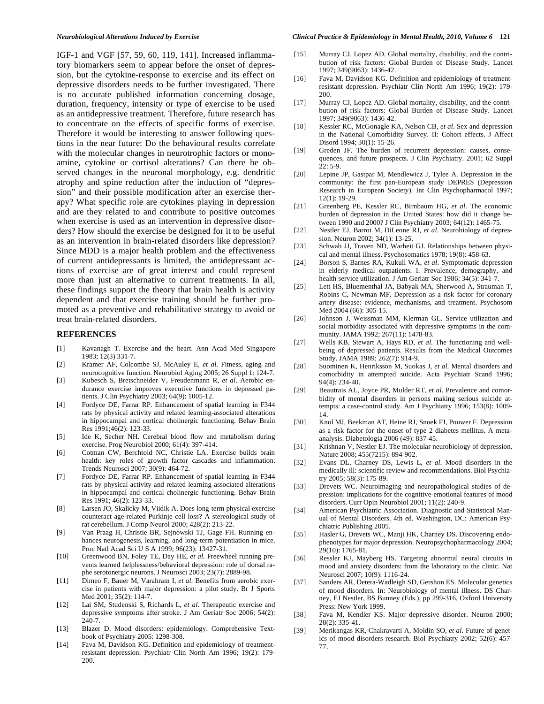IGF-1 and VGF [57, 59, 60, 119, 141]. Increased inflammatory biomarkers seem to appear before the onset of depression, but the cytokine-response to exercise and its effect on depressive disorders needs to be further investigated. There is no accurate published information concerning dosage, duration, frequency, intensity or type of exercise to be used as an antidepressive treatment. Therefore, future research has to concentrate on the effects of specific forms of exercise. Therefore it would be interesting to answer following questions in the near future: Do the behavioural results correlate with the molecular changes in neurotrophic factors or monoamine, cytokine or cortisol alterations? Can there be observed changes in the neuronal morphology, e.g. dendritic atrophy and spine reduction after the induction of "depression" and their possible modification after an exercise therapy? What specific role are cytokines playing in depression and are they related to and contribute to positive outcomes when exercise is used as an intervention in depressive disorders? How should the exercise be designed for it to be useful as an intervention in brain-related disorders like depression? Since MDD is a major health problem and the effectiveness of current antidepressants is limited, the antidepressant actions of exercise are of great interest and could represent more than just an alternative to current treatments. In all, these findings support the theory that brain health is activity dependent and that exercise training should be further promoted as a preventive and rehabilitative strategy to avoid or treat brain-related disorders.

# **REFERENCES**

- [1] Kavanagh T. Exercise and the heart. Ann Acad Med Singapore 1983; 12(3) 331-7.
- [2] Kramer AF, Colcombe SJ, McAuley E, *et al*. Fitness, aging and neurocognitive function. Neurobiol Aging 2005; 26 Suppl 1: 124-7.
- [3] Kubesch S, Bretschneider V, Freudenmann R, *et al*. Aerobic endurance exercise improves executive functions in depressed patients. J Clin Psychiatry 2003; 64(9): 1005-12.
- [4] Fordyce DE, Farrar RP. Enhancement of spatial learning in F344 rats by physical activity and related learning-associated alterations in hippocampal and cortical cholinergic functioning. Behav Brain Res 1991;46(2): 123-33.
- [5] Ide K, Secher NH. Cerebral blood flow and metabolism during exercise. Prog Neurobiol 2000; 61(4): 397-414.
- [6] Cotman CW, Berchtold NC, Christie LA. Exercise builds brain health: key roles of growth factor cascades and inflammation. Trends Neurosci 2007; 30(9): 464-72.
- [7] Fordyce DE, Farrar RP. Enhancement of spatial learning in F344 rats by physical activity and related learning-associated alterations in hippocampal and cortical cholinergic functioning. Behav Brain Res 1991; 46(2): 123-33.
- [8] Larsen JO, Skalicky M, Viidik A. Does long-term physical exercise counteract age-related Purkinje cell loss? A stereological study of rat cerebellum. J Comp Neurol 2000; 428(2): 213-22.
- [9] Van Praag H, Christie BR, Sejnowski TJ, Gage FH. Running enhances neurogenesis, learning, and long-term potentiation in mice. Proc Natl Acad Sci U S A 1999; 96(23): 13427-31.
- [10] Greenwood BN, Foley TE, Day HE, *et al*. Freewheel running prevents learned helplessness/behavioral depression: role of dorsal raphe serotonergic neurons. J Neurosci 2003; 23(7): 2889-98.
- [11] Dimeo F, Bauer M, Varahram I, *et al*. Benefits from aerobic exercise in patients with major depression: a pilot study. Br J Sports Med 2001; 35(2): 114-7.
- [12] Lai SM, Studenski S, Richards L, *et al*. Therapeutic exercise and depressive symptoms after stroke. J Am Geriatr Soc 2006; 54(2): 240-7.
- [13] Blazer D. Mood disorders: epidemiology. Comprehensive Textbook of Psychiatry 2005: 1298-308.
- [14] Fava M, Davidson KG. Definition and epidemiology of treatmentresistant depression. Psychiatr Clin North Am 1996; 19(2): 179- 200.
- [15] Murray CJ, Lopez AD. Global mortality, disability, and the contribution of risk factors: Global Burden of Disease Study. Lancet 1997; 349(9063): 1436-42.
- [16] Fava M, Davidson KG. Definition and epidemiology of treatmentresistant depression. Psychiatr Clin North Am 1996; 19(2): 179- 200.
- [17] Murray CJ, Lopez AD. Global mortality, disability, and the contribution of risk factors: Global Burden of Disease Study. Lancet 1997; 349(9063): 1436-42.
- [18] Kessler RC, McGonagle KA, Nelson CB, *et al*. Sex and depression in the National Comorbidity Survey. II: Cohort effects. J Affect Disord 1994; 30(1): 15-26.
- [19] Greden JF. The burden of recurrent depression: causes, consequences, and future prospects. J Clin Psychiatry. 2001; 62 Suppl 22: 5-9.
- [20] Lepine JP, Gastpar M, Mendlewicz J, Tylee A. Depression in the community: the first pan-European study DEPRES (Depression Research in European Society). Int Clin Psychopharmacol 1997; 12(1): 19-29.
- [21] Greenberg PE, Kessler RC, Birnbaum HG, *et al*. The economic burden of depression in the United States: how did it change between 1990 and 2000? J Clin Psychiatry 2003; 64(12): 1465-75.
- [22] Nestler EJ, Barrot M, DiLeone RJ, *et al*. Neurobiology of depression. Neuron 2002; 34(1): 13-25.
- [23] Schwab JJ, Traven ND, Warheit GJ. Relationships between physical and mental illness. Psychosomatics 1978; 19(8): 458-63.
- [24] Borson S, Barnes RA, Kukull WA, *et al*. Symptomatic depression in elderly medical outpatients. I. Prevalence, demography, and health service utilization. J Am Geriatr Soc 1986; 34(5): 341-7.
- [25] Lett HS, Bluementhal JA, Babyak MA, Sherwood A, Strauman T, Robins C, Newman MF. Depression as a risk factor for coronary artery disease: evidence, mechanisms, and treatment. Psychosom Med 2004 (66): 305-15.
- [26] Johnson J, Weissman MM, Klerman GL. Service utilization and social morbidity associated with depressive symptoms in the community. JAMA 1992; 267(11): 1478-83.
- [27] Wells KB, Stewart A, Hays RD, *et al*. The functioning and wellbeing of depressed patients. Results from the Medical Outcomes Study. JAMA 1989; 262(7): 914-9.
- [28] Suominen K, Henriksson M, Suokas J, *et al*. Mental disorders and comorbidity in attempted suicide. Acta Psychiatr Scand 1996; 94(4): 234-40.
- [29] Beautrais AL, Joyce PR, Mulder RT, *et al*. Prevalence and comorbidity of mental disorders in persons making serious suicide attempts: a case-control study. Am J Psychiatry 1996; 153(8): 1009- 14.
- [30] Knol MJ, Beekman AT, Heine RJ, Snoek FJ, Pouwer F. Depression as a risk factor for the onset of type 2 diabetes mellitus. A metaanalysis. Diabetologia 2006 (49): 837-45.
- [31] Krishnan V, Nestler EJ. The molecular neurobiology of depression. Nature 2008; 455(7215): 894-902.
- [32] Evans DL, Charney DS, Lewis L, *et al*. Mood disorders in the medically ill: scientific review and recommendations. Biol Psychiatry 2005; 58(3): 175-89.
- [33] Drevets WC. Neuroimaging and neuropathological studies of depression: implications for the cognitive-emotional features of mood disorders. Curr Opin Neurobiol 2001; 11(2): 240-9.
- [34] American Psychiatric Association. Diagnostic and Statistical Manual of Mental Disorders. 4th ed. Washington, DC: American Psychiatric Publishing 2005.
- [35] Hasler G, Drevets WC, Manji HK, Charney DS. Discovering endophenotypes for major depression. Neuropsychopharmacology 2004; 29(10): 1765-81.
- [36] Ressler KJ, Mayberg HS. Targeting abnormal neural circuits in mood and anxiety disorders: from the laboratory to the clinic. Nat Neurosci 2007; 10(9): 1116-24.
- [37] Sanders AR, Detera-Wadleigh SD, Gershon ES. Molecular genetics of mood disorders. In: Neurobiology of mental illness. DS Charney, EJ Nestler, BS Bunney (Eds.), pp 299-316, Oxford University Press: New York 1999.
- [38] Fava M, Kendler KS. Major depressive disorder. Neuron 2000; 28(2): 335-41.
- [39] Merikangas KR, Chakravarti A, Moldin SO, *et al*. Future of genetics of mood disorders research. Biol Psychiatry 2002; 52(6): 457- 77.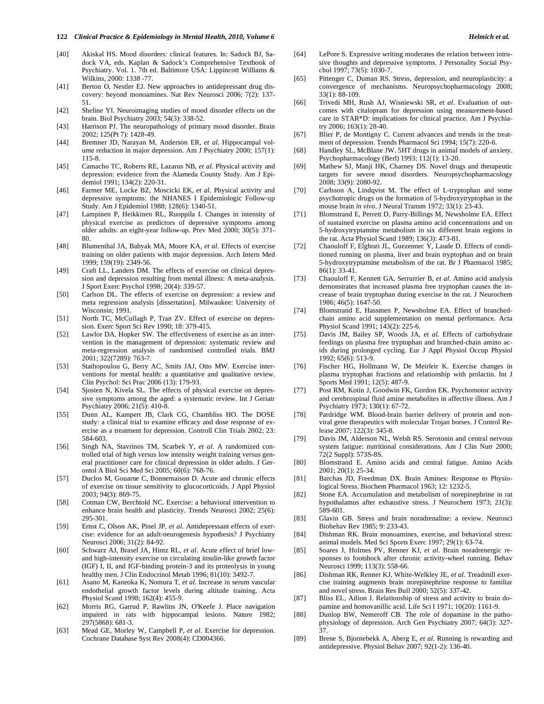#### **122**  *Clinical Practice & Epidemiology in Mental Health, 2010, Volume 6 Helmich et al. Helmich et al. Helmich et al.*

- [40] Akiskal HS. Mood disorders: clinical features. In: Sadock BJ, Sadock VA, eds. Kaplan & Sadock's Comprehensive Textbook of Psychiatry. Vol. 1. 7th ed. Baltimore USA: Lippincott Williams & Wilkins, 2000: 1338 -77.
- [41] Berton O, Nestler EJ. New approaches to antidepressant drug discovery: beyond monoamines. Nat Rev Neurosci 2006; 7(2): 137- 51.
- [42] Sheline YI. Neuroimaging studies of mood disorder effects on the brain. Biol Psychiatry 2003; 54(3): 338-52.
- [43] Harrison PJ. The neuropathology of primary mood disorder. Brain 2002; 125(Pt 7): 1428-49.
- [44] Bremner JD, Narayan M, Anderson ER, *et al*. Hippocampal volume reduction in major depression. Am J Psychiatry 2000; 157(1): 115-8.
- [45] Camacho TC, Roberts RE, Lazarus NB, *et al*. Physical activity and depression: evidence from the Alameda County Study. Am J Epidemiol 1991; 134(2): 220-31.
- [46] Farmer ME, Locke BZ, Moscicki EK, *et al*. Physical activity and depressive symptoms: the NHANES I Epidemiologic Follow-up Study. Am J Epidemiol 1988; 128(6): 1340-51.
- [47] Lampinen P, Heikkinen RL, Ruoppila I. Changes in intensity of physical exercise as predictors of depressive symptoms among older adults: an eight-year follow-up. Prev Med 2000; 30(5): 371- 80.
- [48] Blumenthal JA, Babyak MA, Moore KA, *et al*. Effects of exercise training on older patients with major depression. Arch Intern Med 1999; 159(19): 2349-56.
- [49] Craft LL, Landers DM. The effects of exercise on clinical depression and depression resulting from mental illness: A meta-analysis. J Sport Exerc Psychol 1998; 20(4): 339-57.
- [50] Carlson DL. The effects of exercise on depression: a review and meta regression analysis [dissertation]. Milwaukee: University of Wisconsin; 1991.
- [51] North TC, McCullagh P, Tran ZV. Effect of exercise on depression. Exerc Sport Sci Rev 1990; 18: 379-415.
- [52] Lawlor DA, Hopker SW. The effectiveness of exercise as an intervention in the management of depression: systematic review and meta-regression analysis of randomised controlled trials. BMJ 2001; 322(7289): 763-7.
- [53] Stathopoulou G, Berry AC, Smits JAJ, Otto MW. Exercise interventions for mental health: a quantitative and qualitative review. Clin Psychol: Sci Prac 2006 (13): 179-93.
- [54] Sjosten N, Kivela SL. The effects of physical exercise on depressive symptoms among the aged: a systematic review. Int J Geriatr Psychiatry 2006; 21(5): 410-8.
- [55] Dunn AL, Kampert JB, Clark CG, Chambliss HO. The DOSE study: a clinical trial to examine efficacy and dose response of exercise as a treatment for depression. Controll Clin Trials 2002; 23: 584-603.
- [56] Singh NA, Stavrinos TM, Scarbek Y, *et al*. A randomized controlled trial of high versus low intensity weight training versus general practitioner care for clinical depression in older adults. J Gerontol A Biol Sci Med Sci 2005; 60(6): 768-76.
- [57] Duclos M, Gouarne C, Bonnemaison D. Acute and chronic effects of exercise on tissue sensitivity to glucocorticoids. J Appl Physiol 2003; 94(3): 869-75.
- [58] Cotman CW, Berchtold NC. Exercise: a behavioral intervention to enhance brain health and plasticity. Trends Neurosci 2002; 25(6): 295-301.
- [59] Ernst C, Olson AK, Pinel JP, *et al*. Antidepressant effects of exercise: evidence for an adult-neurogenesis hypothesis? J Psychiatry Neurosci 2006; 31(2): 84-92.
- [60] Schwarz AJ, Brasel JA, Hintz RL, *et al*. Acute effect of brief lowand high-intensity exercise on circulating insulin-like growth factor (IGF) I, II, and IGF-binding protein-3 and its proteolysis in young healthy men. J Clin Endocrinol Metab 1996; 81(10): 3492-7.
- [61] Asano M, Kaneoka K, Nomura T, *et al*. Increase in serum vascular endothelial growth factor levels during altitude training. Acta Physiol Scand 1998; 162(4): 455-9.
- [62] Morris RG, Garrud P, Rawlins JN, O'Keefe J. Place navigation impaired in rats with hippocampal lesions. Nature 1982; 297(5868): 681-3.
- [63] Mead GE, Morley W, Campbell P, *et al*. Exercise for depression. Cochrane Database Syst Rev 2008(4): CD004366.
- [64] LePore S. Expressive writing moderates the relation between intrusive thoughts and depressive symptoms. J Personality Social Psychol 1997; 73(5): 1030-7.
- [65] Pittenger C, Duman RS. Stress, depression, and neuroplasticity: a convergence of mechanisms. Neuropsychopharmacology 2008; 33(1): 88-109.
- [66] Trivedi MH, Rush AJ, Wisniewski SR, *et al*. Evaluation of outcomes with citalopram for depression using measurement-based care in STAR\*D: implications for clinical practice. Am J Psychiatry 2006; 163(1): 28-40.
- [67] Blier P, de Montigny C. Current advances and trends in the treatment of depression. Trends Pharmacol Sci 1994; 15(7): 220-6.
- [68] Handley SL, McBlane JW. 5HT drugs in animal models of anxiety. Psychopharmacology (Berl) 1993; 112(1): 13-20.
- [69] Mathew SJ, Manji HK, Charney DS. Novel drugs and therapeutic targets for severe mood disorders. Neuropsychopharmacology 2008; 33(9): 2080-92.
- [70] Carlsson A, Lindqvist M. The effect of L-tryptophan and some psychotropic drugs on the formation of 5-hydroxytryptophan in the mouse brain *in vivo*. J Neural Transm 1972; 33(1): 23-43.
- [71] Blomstrand E, Perrett D, Parry-Billings M, Newsholme EA. Effect of sustained exercise on plasma amino acid concentrations and on 5-hydroxytryptamine metabolism in six different brain regions in the rat. Acta Physiol Scand 1989; 136(3): 473-81.
- [72] Chaouloff F, Elghozi JL, Guezennec Y, Laude D. Effects of conditioned running on plasma, liver and brain tryptophan and on brain 5-hydroxytryptamine metabolism of the rat. Br J Pharmacol 1985; 86(1): 33-41.
- [73] Chaouloff F, Kennett GA, Serrurrier B, *et al*. Amino acid analysis demonstrates that increased plasma free tryptophan causes the increase of brain tryptophan during exercise in the rat. J Neurochem 1986; 46(5): 1647-50.
- [74] Blomstrand E, Hassmen P, Newsholme EA. Effect of branchedchain amino acid supplementation on mental performance. Acta Physiol Scand 1991; 143(2): 225-6.
- [75] Davis JM, Bailey SP, Woods JA, *et al*. Effects of carbohydrate feedings on plasma free tryptophan and branched-chain amino acids during prolonged cycling. Eur J Appl Physiol Occup Physiol 1992; 65(6): 513-9.
- [76] Fischer HG, Hollmann W, De Meirleir K. Exercise changes in plasma tryptophan fractions and relationship with prolactin. Int J Sports Med 1991; 12(5): 487-9.
- [77] Post RM, Kotin J, Goodwin FK, Gordon EK. Psychomotor activity and cerebrospinal fluid amine metabolites in affective illness. Am J Psychiatry 1973; 130(1): 67-72.
- [78] Pardridge WM. Blood-brain barrier delivery of protein and nonviral gene therapeutics with molecular Trojan horses. J Control Release 2007; 122(3): 345-8.
- [79] Davis JM, Alderson NL, Welsh RS. Serotonin and central nervous system fatigue: nutritional considerations. Am J Clin Nutr 2000; 72(2 Suppl): 573S-8S.
- [80] Blomstrand E. Amino acids and central fatigue. Amino Acids 2001; 20(1): 25-34.
- [81] Barchas JD, Freedman DX. Brain Amines: Response to Physiological Stress. Biochem Pharmacol 1963; 12: 1232-5.
- [82] Stone EA. Accumulation and metabolism of norepinephrine in rat hypothalamus after exhaustive stress. J Neurochem 1973; 21(3): 589-601.
- [83] Glavin GB. Stress and brain noradrenaline: a review. Neurosci Biobehav Rev 1985; 9: 233-43.
- [84] Dishman RK. Brain monoamines, exercise, and behavioral stress: animal models. Med Sci Sports Exerc 1997; 29(1): 63-74.
- [85] Soares J, Holmes PV, Renner KJ, *et al*. Brain noradrenergic responses to footshock after chronic activity-wheel running. Behav Neurosci 1999; 113(3): 558-66.
- [86] Dishman RK, Renner KJ, White-Welkley JE, *et al*. Treadmill exercise training augments brain norepinephrine response to familiar and novel stress. Brain Res Bull 2000; 52(5): 337-42.
- [87] Bliss EL, Ailion J. Relationship of stress and activity to brain dopamine and homovanillic acid. Life Sci I 1971; 10(20): 1161-9.
- [88] Dunlop BW, Nemeroff CB. The role of dopamine in the pathophysiology of depression. Arch Gen Psychiatry 2007; 64(3): 327- 37.
- [89] Brene S, Bjornebekk A, Aberg E, *et al*. Running is rewarding and antidepressive. Physiol Behav 2007; 92(1-2): 136-40.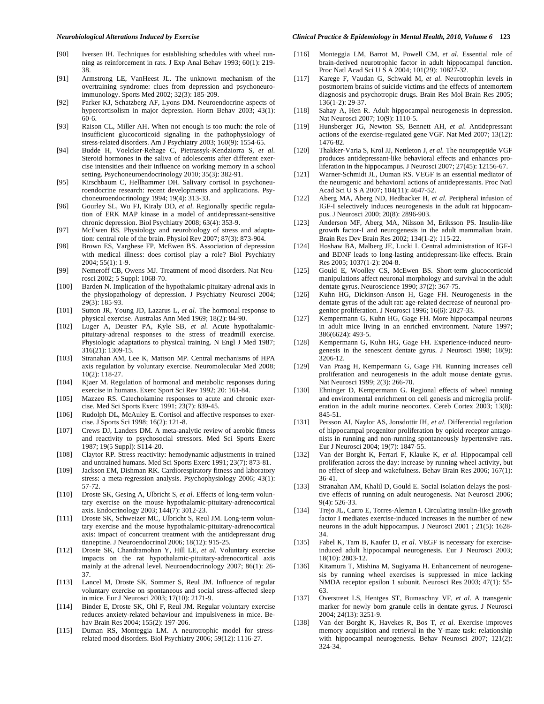#### *Neurobiological Alterations Induced by Exercise Clinical Practice & Epidemiology in Mental Health, 2010, Volume 6* **123**

- [90] Iversen IH. Techniques for establishing schedules with wheel running as reinforcement in rats. J Exp Anal Behav 1993; 60(1): 219- 38.
- [91] Armstrong LE, VanHeest JL. The unknown mechanism of the overtraining syndrome: clues from depression and psychoneuroimmunology. Sports Med 2002; 32(3): 185-209.
- [92] Parker KJ, Schatzberg AF, Lyons DM. Neuroendocrine aspects of hypercortisolism in major depression. Horm Behav 2003; 43(1): 60-6.
- [93] Raison CL, Miller AH. When not enough is too much: the role of insufficient glucocorticoid signaling in the pathophysiology of stress-related disorders. Am J Psychiatry 2003; 160(9): 1554-65.
- [94] Budde H, Voelcker-Rehage C, Pietrassyk-Kendziorra S, *et al*. Steroid hormones in the saliva of adolescents after different exercise intensities and their influence on working memory in a school setting. Psychoneuroendocrinology 2010; 35(3): 382-91.
- [95] Kirschbaum C, Hellhammer DH. Salivary cortisol in psychoneuroendocrine research: recent developments and applications. Psychoneuroendocrinology 1994; 19(4): 313-33.
- [96] Gourley SL, Wu FJ, Kiraly DD, *et al*. Regionally specific regulation of ERK MAP kinase in a model of antidepressant-sensitive chronic depression. Biol Psychiatry 2008; 63(4): 353-9.
- [97] McEwen BS. Physiology and neurobiology of stress and adaptation: central role of the brain. Physiol Rev 2007; 87(3): 873-904.
- [98] Brown ES, Varghese FP, McEwen BS. Association of depression with medical illness: does cortisol play a role? Biol Psychiatry 2004; 55(1): 1-9.
- [99] Nemeroff CB, Owens MJ. Treatment of mood disorders. Nat Neurosci 2002; 5 Suppl: 1068-70.
- [100] Barden N. Implication of the hypothalamic-pituitary-adrenal axis in the physiopathology of depression. J Psychiatry Neurosci 2004; 29(3): 185-93.
- [101] Sutton JR, Young JD, Lazarus L, *et al*. The hormonal response to physical exercise. Australas Ann Med 1969; 18(2): 84-90.
- [102] Luger A, Deuster PA, Kyle SB, *et al*. Acute hypothalamicpituitary-adrenal responses to the stress of treadmill exercise. Physiologic adaptations to physical training. N Engl J Med 1987;  $316(21) \cdot 1309 - 15$
- [103] Stranahan AM, Lee K, Mattson MP. Central mechanisms of HPA axis regulation by voluntary exercise. Neuromolecular Med 2008; 10(2): 118-27.
- [104] Kjaer M. Regulation of hormonal and metabolic responses during exercise in humans. Exerc Sport Sci Rev 1992; 20: 161-84.
- [105] Mazzeo RS. Catecholamine responses to acute and chronic exercise. Med Sci Sports Exerc 1991; 23(7): 839-45.
- [106] Rudolph DL, McAuley E. Cortisol and affective responses to exercise. J Sports Sci 1998; 16(2): 121-8.
- [107] Crews DJ, Landers DM. A meta-analytic review of aerobic fitness and reactivity to psychosocial stressors. Med Sci Sports Exerc 1987; 19(5 Suppl): S114-20.
- [108] Claytor RP. Stress reactivity: hemodynamic adjustments in trained and untrained humans. Med Sci Sports Exerc 1991; 23(7): 873-81.
- [109] Jackson EM, Dishman RK. Cardiorespiratory fitness and laboratory stress: a meta-regression analysis. Psychophysiology 2006; 43(1): 57-72.
- [110] Droste SK, Gesing A, Ulbricht S, *et al*. Effects of long-term voluntary exercise on the mouse hypothalamic-pituitary-adrenocortical axis. Endocrinology 2003; 144(7): 3012-23.
- [111] Droste SK, Schweizer MC, Ulbricht S, Reul JM. Long-term voluntary exercise and the mouse hypothalamic-pituitary-adrenocortical axis: impact of concurrent treatment with the antidepressant drug tianeptine. J Neuroendocrinol 2006; 18(12): 915-25.
- [112] Droste SK, Chandramohan Y, Hill LE, *et al*. Voluntary exercise impacts on the rat hypothalamic-pituitary-adrenocortical axis mainly at the adrenal level. Neuroendocrinology 2007; 86(1): 26- 37.
- [113] Lancel M, Droste SK, Sommer S, Reul JM. Influence of regular voluntary exercise on spontaneous and social stress-affected sleep in mice. Eur J Neurosci 2003; 17(10): 2171-9.
- [114] Binder E, Droste SK, Ohl F, Reul JM. Regular voluntary exercise reduces anxiety-related behaviour and impulsiveness in mice. Behav Brain Res 2004; 155(2): 197-206.
- [115] Duman RS, Monteggia LM. A neurotrophic model for stressrelated mood disorders. Biol Psychiatry 2006; 59(12): 1116-27.
- [116] Monteggia LM, Barrot M, Powell CM, *et al*. Essential role of brain-derived neurotrophic factor in adult hippocampal function. Proc Natl Acad Sci U S A 2004; 101(29): 10827-32.
- [117] Karege F, Vaudan G, Schwald M, *et al*. Neurotrophin levels in postmortem brains of suicide victims and the effects of antemortem diagnosis and psychotropic drugs. Brain Res Mol Brain Res 2005; 136(1-2): 29-37.
- [118] Sahay A, Hen R. Adult hippocampal neurogenesis in depression. Nat Neurosci 2007; 10(9): 1110-5.
- [119] Hunsberger JG, Newton SS, Bennett AH, *et al*. Antidepressant actions of the exercise-regulated gene VGF. Nat Med 2007; 13(12): 1476-82.
- [120] Thakker-Varia S, Krol JJ, Nettleton J, *et al*. The neuropeptide VGF produces antidepressant-like behavioral effects and enhances proliferation in the hippocampus. J Neurosci 2007; 27(45): 12156-67.
- [121] Warner-Schmidt JL, Duman RS. VEGF is an essential mediator of the neurogenic and behavioral actions of antidepressants. Proc Natl Acad Sci U S A 2007; 104(11): 4647-52.
- [122] Aberg MA, Aberg ND, Hedbacker H, *et al*. Peripheral infusion of IGF-I selectively induces neurogenesis in the adult rat hippocampus. J Neurosci 2000; 20(8): 2896-903.
- [123] Anderson MF, Aberg MA, Nilsson M, Eriksson PS. Insulin-like growth factor-I and neurogenesis in the adult mammalian brain. Brain Res Dev Brain Res 2002; 134(1-2): 115-22.
- [124] Hoshaw BA, Malberg JE, Lucki I. Central administration of IGF-I and BDNF leads to long-lasting antidepressant-like effects. Brain Res 2005; 1037(1-2): 204-8.
- [125] Gould E, Woolley CS, McEwen BS. Short-term glucocorticoid manipulations affect neuronal morphology and survival in the adult dentate gyrus. Neuroscience 1990; 37(2): 367-75.
- [126] Kuhn HG, Dickinson-Anson H, Gage FH. Neurogenesis in the dentate gyrus of the adult rat: age-related decrease of neuronal progenitor proliferation. J Neurosci 1996; 16(6): 2027-33.
- [127] Kempermann G, Kuhn HG, Gage FH. More hippocampal neurons in adult mice living in an enriched environment. Nature 1997; 386(6624): 493-5.
- [128] Kempermann G, Kuhn HG, Gage FH. Experience-induced neurogenesis in the senescent dentate gyrus. J Neurosci 1998; 18(9): 3206-12.
- [129] Van Praag H, Kempermann G, Gage FH. Running increases cell proliferation and neurogenesis in the adult mouse dentate gyrus. Nat Neurosci 1999; 2(3): 266-70.
- [130] Ehninger D, Kempermann G. Regional effects of wheel running and environmental enrichment on cell genesis and microglia proliferation in the adult murine neocortex. Cereb Cortex 2003; 13(8): 845-51.
- [131] Persson AI, Naylor AS, Jonsdottir IH, *et al*. Differential regulation of hippocampal progenitor proliferation by opioid receptor antagonists in running and non-running spontaneously hypertensive rats. Eur J Neurosci 2004; 19(7): 1847-55.
- [132] Van der Borght K, Ferrari F, Klauke K, *et al*. Hippocampal cell proliferation across the day: increase by running wheel activity, but no effect of sleep and wakefulness. Behav Brain Res 2006; 167(1): 36-41.
- [133] Stranahan AM, Khalil D, Gould E. Social isolation delays the positive effects of running on adult neurogenesis. Nat Neurosci 2006; 9(4): 526-33.
- [134] Trejo JL, Carro E, Torres-Aleman I. Circulating insulin-like growth factor I mediates exercise-induced increases in the number of new neurons in the adult hippocampus. J Neurosci 2001 ; 21(5): 1628- 34.
- [135] Fabel K, Tam B, Kaufer D, *et al.* VEGF is necessary for exerciseinduced adult hippocampal neurogenesis. Eur J Neurosci 2003; 18(10): 2803-12.
- [136] Kitamura T, Mishina M, Sugiyama H. Enhancement of neurogenesis by running wheel exercises is suppressed in mice lacking NMDA receptor epsilon 1 subunit. Neurosci Res 2003; 47(1): 55- 63.
- [137] Overstreet LS, Hentges ST, Bumaschny VF, *et al*. A transgenic marker for newly born granule cells in dentate gyrus. J Neurosci 2004; 24(13): 3251-9.
- [138] Van der Borght K, Havekes R, Bos T, *et al*. Exercise improves memory acquisition and retrieval in the Y-maze task: relationship with hippocampal neurogenesis. Behav Neurosci 2007; 121(2): 324-34.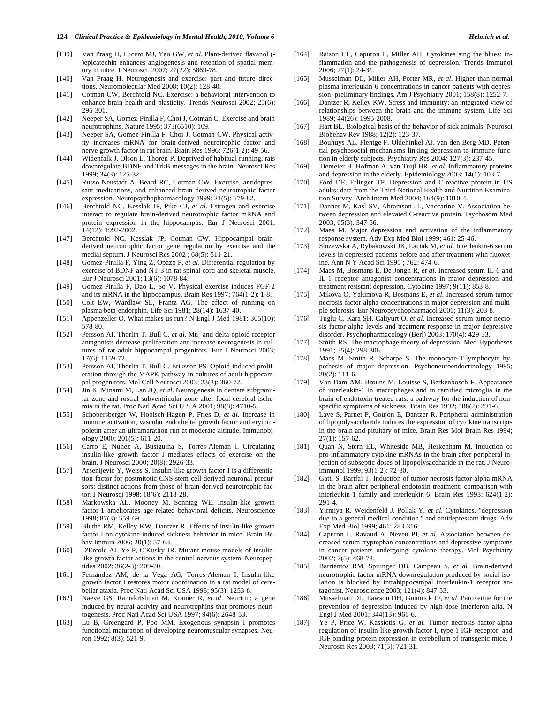- [139] Van Praag H, Lucero MJ, Yeo GW, *et al*. Plant-derived flavanol (- )epicatechin enhances angiogenesis and retention of spatial memory in mice. J Neurosci. 2007; 27(22): 5869-78.
- [140] Van Praag H. Neurogenesis and exercise: past and future directions. Neuromolecular Med 2008; 10(2): 128-40.
- [141] Cotman CW, Berchtold NC. Exercise: a behavioral intervention to enhance brain health and plasticity. Trends Neurosci 2002; 25(6): 295-301.
- [142] Neeper SA, Gomez-Pinilla F, Choi J, Cotman C. Exercise and brain neurotrophins. Nature 1995; 373(6510): 109.
- [143] Neeper SA, Gomez-Pinilla F, Choi J, Cotman CW. Physical activity increases mRNA for brain-derived neurotrophic factor and nerve growth factor in rat brain. Brain Res 1996; 726(1-2): 49-56.
- [144] Widenfalk J, Olson L, Thoren P. Deprived of habitual running, rats downregulate BDNF and TrkB messages in the brain. Neurosci Res 1999; 34(3): 125-32.
- [145] Russo-Neustadt A, Beard RC, Cotman CW. Exercise, antidepressant medications, and enhanced brain derived neurotrophic factor expression. Neuropsychopharmacology 1999; 21(5): 679-82.
- [146] Berchtold NC, Kesslak JP, Pike CJ, *et al*. Estrogen and exercise interact to regulate brain-derived neurotrophic factor mRNA and protein expression in the hippocampus. Eur J Neurosci 2001; 14(12): 1992-2002.
- [147] Berchtold NC, Kesslak JP, Cotman CW. Hippocampal brainderived neurotrophic factor gene regulation by exercise and the medial septum. J Neurosci Res 2002 ; 68(5): 511-21.
- [148] Gomez-Pinilla F, Ying Z, Opazo P, *et al*. Differential regulation by exercise of BDNF and NT-3 in rat spinal cord and skeletal muscle. Eur J Neurosci 2001; 13(6): 1078-84.
- [149] Gomez-Pinilla F, Dao L, So V. Physical exercise induces FGF-2 and its mRNA in the hippocampus. Brain Res 1997; 764(1-2): 1-8.
- [150] Colt EW, Wardlaw SL, Frantz AG. The effect of running on plasma beta-endorphin. Life Sci 1981; 28(14): 1637-40.
- [151] Appenzeller O. What makes us run? N Engl J Med 1981; 305(10): 578-80.
- [152] Persson AI, Thorlin T, Bull C, *et al*. Mu- and delta-opioid receptor antagonists decrease proliferation and increase neurogenesis in cultures of rat adult hippocampal progenitors. Eur J Neurosci 2003; 17(6): 1159-72.
- [153] Persson AI, Thorlin T, Bull C, Eriksson PS. Opioid-induced proliferation through the MAPK pathway in cultures of adult hippocampal progenitors. Mol Cell Neurosci 2003; 23(3): 360-72.
- [154] Jin K, Minami M, Lan JQ, *et al*. Neurogenesis in dentate subgranular zone and rostral subventricular zone after focal cerebral ischemia in the rat. Proc Natl Acad Sci U S A 2001; 98(8): 4710-5.
- [155] Schobersberger W, Hobisch-Hagen P, Fries D, *et al*. Increase in immune activation, vascular endothelial growth factor and erythropoietin after an ultramarathon run at moderate altitude. Immunobiology 2000; 201(5): 611-20.
- [156] Carro E, Nunez A, Busiguina S, Torres-Aleman I. Circulating insulin-like growth factor I mediates effects of exercise on the brain. J Neurosci 2000; 20(8): 2926-33.
- [157] Arsenijevic Y, Weiss S. Insulin-like growth factor-I is a differentiation factor for postmitotic CNS stem cell-derived neuronal precursors: distinct actions from those of brain-derived neurotrophic factor. J Neurosci 1998; 18(6): 2118-28.
- [158] Markowska AL, Mooney M, Sonntag WE. Insulin-like growth factor-1 ameliorates age-related behavioral deficits. Neuroscience 1998; 87(3): 559-69.
- [159] Bluthe RM, Kelley KW, Dantzer R. Effects of insulin-like growth factor-I on cytokine-induced sickness behavior in mice. Brain Behav Immun 2006: 20(1): 57-63.
- [160] D'Ercole AJ, Ye P, O'Kusky JR. Mutant mouse models of insulinlike growth factor actions in the central nervous system. Neuropeptides 2002; 36(2-3): 209-20.
- [161] Fernandez AM, de la Vega AG, Torres-Aleman I. Insulin-like growth factor I restores motor coordination in a rat model of cerebellar ataxia. Proc Natl Acad Sci USA 1998; 95(3): 1253-8.
- [162] Naeve GS, Ramakrishnan M, Kramer R, *et al*. Neuritin: a gene induced by neural activity and neurotrophins that promotes neuritogenesis. Proc Natl Acad Sci USA 1997; 94(6): 2648-53.
- [163] Lu B, Greengard P, Poo MM. Exogenous synapsin I promotes functional maturation of developing neuromuscular synapses. Neuron 1992; 8(3): 521-9.
- [164] Raison CL, Capuron L, Miller AH. Cytokines sing the blues: inflammation and the pathogenesis of depression. Trends Immunol 2006; 27(1): 24-31.
- [165] Musselman DL, Miller AH, Porter MR, *et al*. Higher than normal plasma interleukin-6 concentrations in cancer patients with depression: preliminary findings. Am J Psychiatry 2001; 158(8): 1252-7.
- [166] Dantzer R, Kelley KW. Stress and immunity: an integrated view of relationships between the brain and the immune system. Life Sci 1989; 44(26): 1995-2008.
- [167] Hart BL. Biological basis of the behavior of sick animals. Neurosci Biobehav Rev 1988; 12(2): 123-37.
- [168] Bouhuys AL, Flentge F, Oldehinkel AJ, van den Berg MD. Potential psychosocial mechanisms linking depression to immune function in elderly subjects. Psychiatry Res 2004; 127(3): 237-45.
- [169] Tiemeier H, Hofman A, van Tuijl HR, *et al*. Inflammatory proteins and depression in the elderly. Epidemiology 2003; 14(1): 103-7.
- [170] Ford DE, Erlinger TP. Depression and C-reactive protein in US adults: data from the Third National Health and Nutrition Examination Survey. Arch Intern Med 2004; 164(9): 1010-4.
- [171] Danner M, Kasl SV, Abramson JL, Vaccarino V. Association between depression and elevated C-reactive protein. Psychosom Med 2003; 65(3): 347-56.
- [172] Maes M. Major depression and activation of the inflammatory response system. Adv Exp Med Biol 1999; 461: 25-46.
- [173] Sluzewska A, Rybakowski JK, Laciak M, *et al*. Interleukin-6 serum levels in depressed patients before and after treatment with fluoxetine. Ann N Y Acad Sci 1995 ; 762: 474-6.
- [174] Maes M, Bosmans E, De Jongh R, *et al*. Increased serum IL-6 and IL-1 receptor antagonist concentrations in major depression and treatment resistant depression. Cytokine 1997; 9(11): 853-8.
- [175] Mikova O, Yakimova R, Bosmans E, *et al*. Increased serum tumor necrosis factor alpha concentrations in major depression and multiple sclerosis. Eur Neuropsychopharmacol 2001; 11(3): 203-8.
- [176] Tuglu C, Kara SH, Caliyurt O, *et al*. Increased serum tumor necrosis factor-alpha levels and treatment response in major depressive disorder. Psychopharmacology (Berl) 2003; 170(4): 429-33.
- [177] Smith RS. The macrophage theory of depression. Med Hypotheses 1991; 35(4): 298-306.
- [178] Maes M, Smith R, Scharpe S. The monocyte-T-lymphocyte hypothesis of major depression. Psychoneuroendocrinology 1995; 20(2): 111-6.
- [179] Van Dam AM, Brouns M, Louisse S, Berkenbosch F. Appearance of interleukin-1 in macrophages and in ramified microglia in the brain of endotoxin-treated rats: a pathway for the induction of nonspecific symptoms of sickness? Brain Res 1992; 588(2): 291-6.
- [180] Laye S, Parnet P, Goujon E, Dantzer R. Peripheral administration of lipopolysaccharide induces the expression of cytokine transcripts in the brain and pituitary of mice. Brain Res Mol Brain Res 1994; 27(1): 157-62.
- [181] Quan N, Stern EL, Whiteside MB, Herkenham M. Induction of pro-inflammatory cytokine mRNAs in the brain after peripheral injection of subseptic doses of lipopolysaccharide in the rat. J Neuroimmunol 1999; 93(1-2): 72-80.
- [182] Gatti S, Bartfai T. Induction of tumor necrosis factor-alpha mRNA in the brain after peripheral endotoxin treatment: comparison with interleukin-1 family and interleukin-6. Brain Res 1993; 624(1-2): 291-4.
- [183] Yirmiya R, Weidenfeld J, Pollak Y, *et al*. Cytokines, "depression due to a general medical condition," and antidepressant drugs. Adv Exp Med Biol 1999; 461: 283-316.
- [184] Capuron L, Ravaud A, Neveu PJ, *et al*. Association between decreased serum tryptophan concentrations and depressive symptoms in cancer patients undergoing cytokine therapy. Mol Psychiatry 2002; 7(5): 468-73.
- [185] Barrientos RM, Sprunger DB, Campeau S, *et al*. Brain-derived neurotrophic factor mRNA downregulation produced by social isolation is blocked by intrahippocampal interleukin-1 receptor antagonist. Neuroscience 2003; 121(4): 847-53.
- [186] Musselman DL, Lawson DH, Gumnick JF, *et al*. Paroxetine for the prevention of depression induced by high-dose interferon alfa. N Engl J Med 2001; 344(13): 961-6.
- [187] Ye P, Price W, Kassiotis G, *et al*. Tumor necrosis factor-alpha regulation of insulin-like growth factor-I, type 1 IGF receptor, and IGF binding protein expression in cerebellum of transgenic mice. J Neurosci Res 2003; 71(5): 721-31.